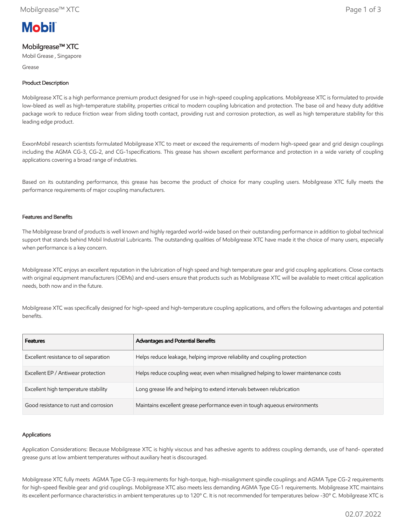

# Mobilgrease™ XTC

Mobil Grease , Singapore

Grease

## Product Description

Mobilgrease XTC is a high performance premium product designed for use in high-speed coupling applications. Mobilgrease XTC is formulated to provide low-bleed as well as high-temperature stability, properties critical to modern coupling lubrication and protection. The base oil and heavy duty additive package work to reduce friction wear from sliding tooth contact, providing rust and corrosion protection, as well as high temperature stability for this leading edge product.

ExxonMobil research scientists formulated Mobilgrease XTC to meet or exceed the requirements of modern high-speed gear and grid design couplings including the AGMA CG-3, CG-2, and CG-1specifications. This grease has shown excellent performance and protection in a wide variety of coupling applications covering a broad range of industries.

Based on its outstanding performance, this grease has become the product of choice for many coupling users. Mobilgrease XTC fully meets the performance requirements of major coupling manufacturers.

### Features and Benefits

The Mobilgrease brand of products is well known and highly regarded world-wide based on their outstanding performance in addition to global technical support that stands behind Mobil Industrial Lubricants. The outstanding qualities of Mobilgrease XTC have made it the choice of many users, especially when performance is a key concern.

Mobilgrease XTC enjoys an excellent reputation in the lubrication of high speed and high temperature gear and grid coupling applications. Close contacts with original equipment manufacturers (OEMs) and end-users ensure that products such as Mobilgrease XTC will be available to meet critical application needs, both now and in the future.

Mobilgrease XTC was specifically designed for high-speed and high-temperature coupling applications, and offers the following advantages and potential benefits.

| <b>Features</b>                        | Advantages and Potential Benefits                                                   |
|----------------------------------------|-------------------------------------------------------------------------------------|
| Excellent resistance to oil separation | Helps reduce leakage, helping improve reliability and coupling protection           |
| Excellent EP / Antiwear protection     | Helps reduce coupling wear, even when misaligned helping to lower maintenance costs |
| Excellent high temperature stability   | Long grease life and helping to extend intervals between relubrication              |
| Good resistance to rust and corrosion  | Maintains excellent grease performance even in tough aqueous environments           |

### Applications

Application Considerations: Because Mobilgrease XTC is highly viscous and has adhesive agents to address coupling demands, use of hand- operated grease guns at low ambient temperatures without auxiliary heat is discouraged.

Mobilgrease XTC fully meets AGMA Type CG-3 requirements for high-torque, high-misalignment spindle couplings and AGMA Type CG-2 requirements for high-speed flexible gear and grid couplings. Mobilgrease XTC also meets less demanding AGMA Type CG-1 requirements. Mobilgrease XTC maintains its excellent performance characteristics in ambient temperatures up to 120º C. It is not recommended for temperatures below -30º C. Mobilgrease XTC is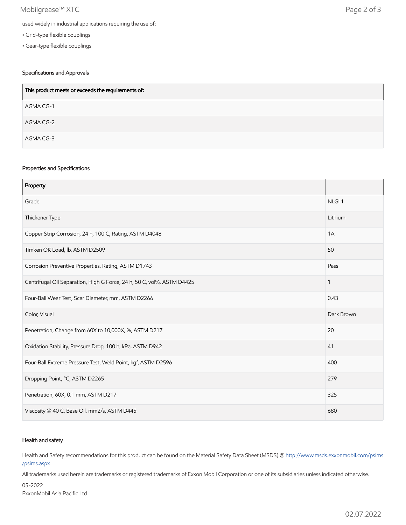## Mobilgrease™ XTC Page 2 of 3

- Grid-type flexible couplings
- Gear-type flexible couplings

## Specifications and Approvals

| This product meets or exceeds the requirements of: |
|----------------------------------------------------|
| AGMA CG-1                                          |
| AGMA CG-2                                          |
| AGMA CG-3                                          |

### Properties and Specifications

| Property                                                               |                   |
|------------------------------------------------------------------------|-------------------|
| Grade                                                                  | NLGI <sub>1</sub> |
| Thickener Type                                                         | Lithium           |
| Copper Strip Corrosion, 24 h, 100 C, Rating, ASTM D4048                | 1A                |
| Timken OK Load, lb, ASTM D2509                                         | 50                |
| Corrosion Preventive Properties, Rating, ASTM D1743                    | Pass              |
| Centrifugal Oil Separation, High G Force, 24 h, 50 C, vol%, ASTM D4425 | 1                 |
| Four-Ball Wear Test, Scar Diameter, mm, ASTM D2266                     | 0.43              |
| Color, Visual                                                          | Dark Brown        |
| Penetration, Change from 60X to 10,000X, %, ASTM D217                  | 20                |
| Oxidation Stability, Pressure Drop, 100 h, kPa, ASTM D942              | 41                |
| Four-Ball Extreme Pressure Test, Weld Point, kgf, ASTM D2596           | 400               |
| Dropping Point, °C, ASTM D2265                                         | 279               |
| Penetration, 60X, 0.1 mm, ASTM D217                                    | 325               |
| Viscosity @ 40 C, Base Oil, mm2/s, ASTM D445                           | 680               |

### Health and safety

Health and Safety recommendations for this product can be found on the Material Safety Data Sheet (MSDS) @ [http://www.msds.exxonmobil.com/psims](http://www.msds.exxonmobil.com/psims/psims.aspx) /psims.aspx

All trademarks used herein are trademarks or registered trademarks of Exxon Mobil Corporation or one of its subsidiaries unless indicated otherwise.

05-2022 ExxonMobil Asia Pacific Ltd